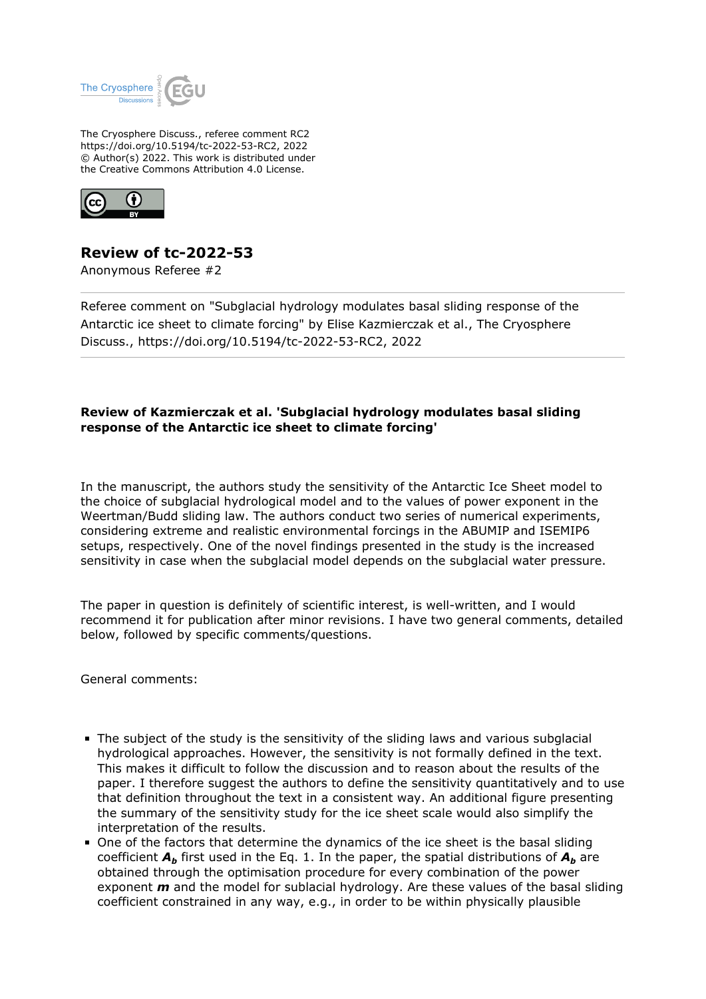

The Cryosphere Discuss., referee comment RC2 https://doi.org/10.5194/tc-2022-53-RC2, 2022 © Author(s) 2022. This work is distributed under the Creative Commons Attribution 4.0 License.



## **Review of tc-2022-53**

Anonymous Referee #2

Referee comment on "Subglacial hydrology modulates basal sliding response of the Antarctic ice sheet to climate forcing" by Elise Kazmierczak et al., The Cryosphere Discuss., https://doi.org/10.5194/tc-2022-53-RC2, 2022

## **Review of Kazmierczak et al. 'Subglacial hydrology modulates basal sliding response of the Antarctic ice sheet to climate forcing'**

In the manuscript, the authors study the sensitivity of the Antarctic Ice Sheet model to the choice of subglacial hydrological model and to the values of power exponent in the Weertman/Budd sliding law. The authors conduct two series of numerical experiments, considering extreme and realistic environmental forcings in the ABUMIP and ISEMIP6 setups, respectively. One of the novel findings presented in the study is the increased sensitivity in case when the subglacial model depends on the subglacial water pressure.

The paper in question is definitely of scientific interest, is well-written, and I would recommend it for publication after minor revisions. I have two general comments, detailed below, followed by specific comments/questions.

General comments:

- The subject of the study is the sensitivity of the sliding laws and various subglacial hydrological approaches. However, the sensitivity is not formally defined in the text. This makes it difficult to follow the discussion and to reason about the results of the paper. I therefore suggest the authors to define the sensitivity quantitatively and to use that definition throughout the text in a consistent way. An additional figure presenting the summary of the sensitivity study for the ice sheet scale would also simplify the interpretation of the results.
- One of the factors that determine the dynamics of the ice sheet is the basal sliding coefficient  $A_b$  first used in the Eq. 1. In the paper, the spatial distributions of  $A_b$  are obtained through the optimisation procedure for every combination of the power exponent *m* and the model for sublacial hydrology. Are these values of the basal sliding coefficient constrained in any way, e.g., in order to be within physically plausible